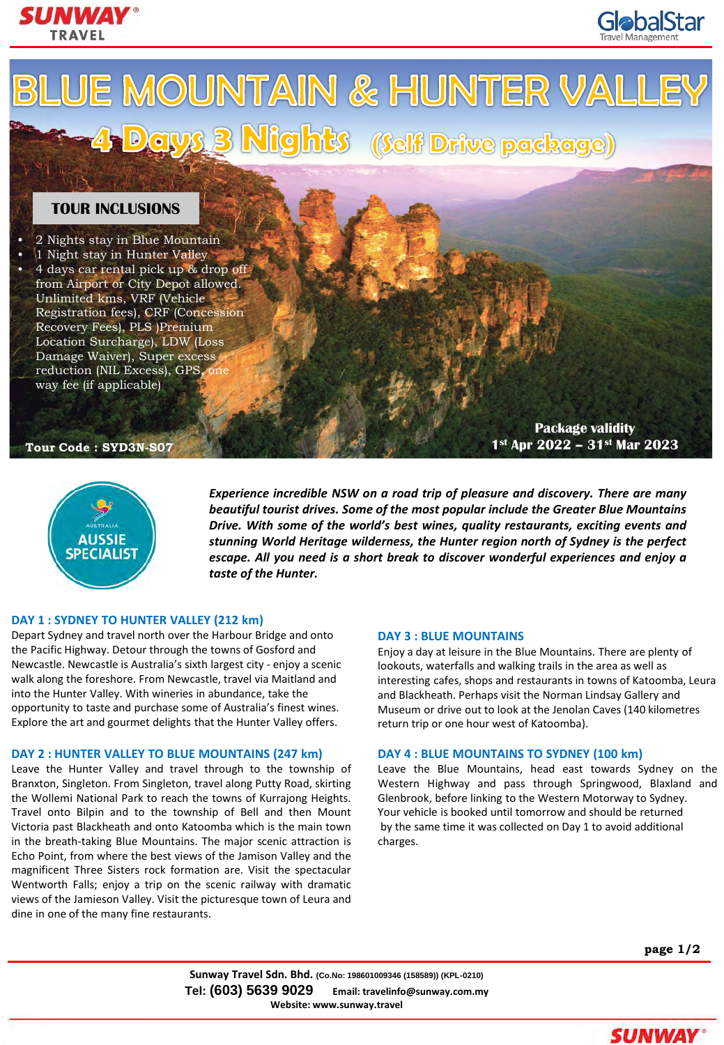



**AUSSIE SPECIALIST** 

*Experience incredible NSW on a road trip of pleasure and discovery. There are many beautiful tourist drives. Some of the most popular include the Greater Blue Mountains Drive. With some of the world's best wines, quality restaurants, exciting events and stunning World Heritage wilderness, the Hunter region north of Sydney is the perfect escape. All you need is a short break to discover wonderful experiences and enjoy a taste of the Hunter.*

## **DAY 1 : SYDNEY TO HUNTER VALLEY (212 km)**

Depart Sydney and travel north over the Harbour Bridge and onto the Pacific Highway. Detour through the towns of Gosford and Newcastle. Newcastle is Australia's sixth largest city - enjoy a scenic walk along the foreshore. From Newcastle, travel via Maitland and into the Hunter Valley. With wineries in abundance, take the opportunity to taste and purchase some of Australia's finest wines. Explore the art and gourmet delights that the Hunter Valley offers.

# **DAY 2 : HUNTER VALLEY TO BLUE MOUNTAINS (247 km)**

Leave the Hunter Valley and travel through to the township of Branxton, Singleton. From Singleton, travel along Putty Road, skirting the Wollemi National Park to reach the towns of Kurrajong Heights. Travel onto Bilpin and to the township of Bell and then Mount Victoria past Blackheath and onto Katoomba which is the main town in the breath-taking Blue Mountains. The major scenic attraction is Echo Point, from where the best views of the Jamison Valley and the magnificent Three Sisters rock formation are. Visit the spectacular Wentworth Falls; enjoy a trip on the scenic railway with dramatic views of the Jamieson Valley. Visit the picturesque town of Leura and dine in one of the many fine restaurants.

## **DAY 3 : BLUE MOUNTAINS**

Enjoy a day at leisure in the Blue Mountains. There are plenty of lookouts, waterfalls and walking trails in the area as well as interesting cafes, shops and restaurants in towns of Katoomba, Leura and Blackheath. Perhaps visit the Norman Lindsay Gallery and Museum or drive out to look at the Jenolan Caves (140 kilometres return trip or one hour west of Katoomba).

# **DAY 4 : BLUE MOUNTAINS TO SYDNEY (100 km)**

Leave the Blue Mountains, head east towards Sydney on the Western Highway and pass through Springwood, Blaxland and Glenbrook, before linking to the Western Motorway to Sydney. Your vehicle is booked until tomorrow and should be returned by the same time it was collected on Day 1 to avoid additional charges.

**page 1/2**

**GlobalStar** 

**Sunway Travel Sdn. Bhd. (Co.No: 198601009346 (158589)) (KPL-0210) Tel: (603) 5639 9029 Email: travelinfo@sunway.com.my Website: www.sunway.travel**